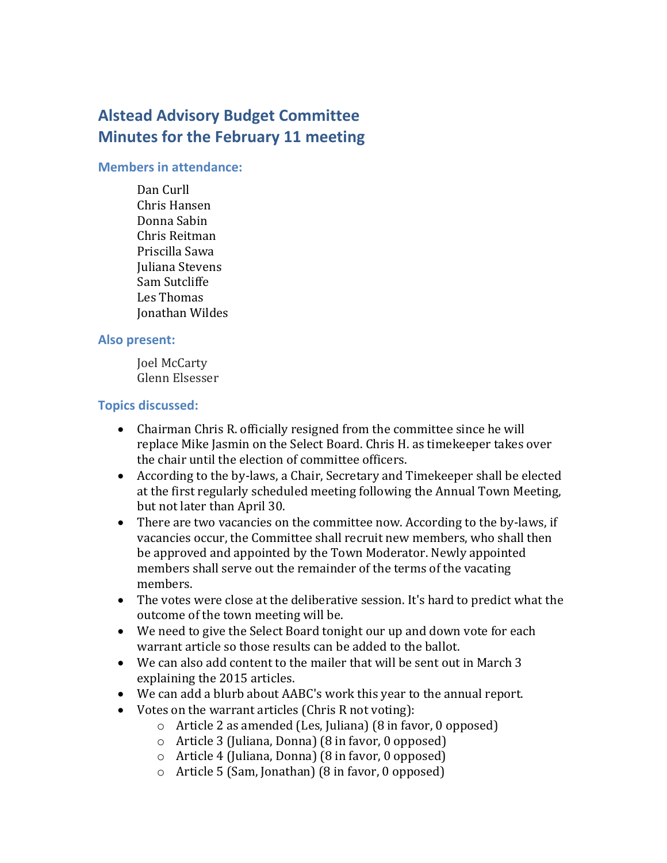# **Alstead Advisory Budget Committee Minutes for the February 11 meeting**

#### **Members in attendance:**

Dan Curll Chris Hansen Donna Sabin Chris Reitman Priscilla Sawa Juliana Stevens Sam Sutcliffe Les Thomas Jonathan Wildes

#### **Also present:**

Joel McCarty Glenn Elsesser

### **Topics discussed:**

- Chairman Chris R. officially resigned from the committee since he will replace Mike Jasmin on the Select Board. Chris H. as timekeeper takes over the chair until the election of committee officers.
- According to the by-laws, a Chair, Secretary and Timekeeper shall be elected at the first regularly scheduled meeting following the Annual Town Meeting, but not later than April 30.
- There are two vacancies on the committee now. According to the by-laws, if vacancies occur, the Committee shall recruit new members, who shall then be approved and appointed by the Town Moderator. Newly appointed members shall serve out the remainder of the terms of the vacating members.
- The votes were close at the deliberative session. It's hard to predict what the outcome of the town meeting will be.
- We need to give the Select Board tonight our up and down vote for each warrant article so those results can be added to the ballot.
- We can also add content to the mailer that will be sent out in March 3 explaining the 2015 articles.
- We can add a blurb about AABC's work this year to the annual report.
- Votes on the warrant articles (Chris R not voting):
	- o Article 2 as amended (Les, Juliana) (8 in favor, 0 opposed)
	- o Article 3 (Juliana, Donna) (8 in favor, 0 opposed)
	- o Article 4 (Juliana, Donna) (8 in favor, 0 opposed)
	- o Article 5 (Sam, Jonathan) (8 in favor, 0 opposed)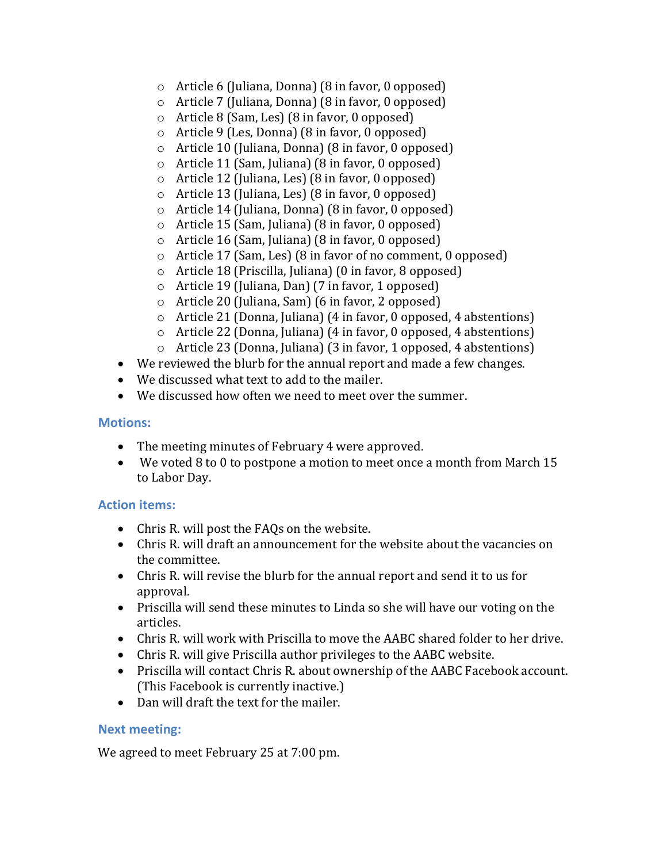- o Article 6 (Juliana, Donna) (8 in favor, 0 opposed)
- o Article 7 (Juliana, Donna) (8 in favor, 0 opposed)
- o Article 8 (Sam, Les) (8 in favor, 0 opposed)
- o Article 9 (Les, Donna) (8 in favor, 0 opposed)
- o Article 10 (Juliana, Donna) (8 in favor, 0 opposed)
- o Article 11 (Sam, Juliana) (8 in favor, 0 opposed)
- o Article 12 (Juliana, Les) (8 in favor, 0 opposed)
- o Article 13 (Juliana, Les) (8 in favor, 0 opposed)
- o Article 14 (Juliana, Donna) (8 in favor, 0 opposed)
- o Article 15 (Sam, Juliana) (8 in favor, 0 opposed)
- o Article 16 (Sam, Juliana) (8 in favor, 0 opposed)
- o Article 17 (Sam, Les) (8 in favor of no comment, 0 opposed)
- o Article 18 (Priscilla, Juliana) (0 in favor, 8 opposed)
- o Article 19 (Juliana, Dan) (7 in favor, 1 opposed)
- o Article 20 (Juliana, Sam) (6 in favor, 2 opposed)
- o Article 21 (Donna, Juliana) (4 in favor, 0 opposed, 4 abstentions)
- o Article 22 (Donna, Juliana) (4 in favor, 0 opposed, 4 abstentions)
- o Article 23 (Donna, Juliana) (3 in favor, 1 opposed, 4 abstentions)
- We reviewed the blurb for the annual report and made a few changes.
- We discussed what text to add to the mailer.
- We discussed how often we need to meet over the summer.

#### **Motions:**

- The meeting minutes of February 4 were approved.
- We voted 8 to 0 to postpone a motion to meet once a month from March 15 to Labor Day.

#### **Action items:**

- Chris R. will post the FAQs on the website.
- Chris R. will draft an announcement for the website about the vacancies on the committee.
- Chris R. will revise the blurb for the annual report and send it to us for approval.
- Priscilla will send these minutes to Linda so she will have our voting on the articles.
- Chris R. will work with Priscilla to move the AABC shared folder to her drive.
- Chris R. will give Priscilla author privileges to the AABC website.
- Priscilla will contact Chris R. about ownership of the AABC Facebook account. (This Facebook is currently inactive.)
- Dan will draft the text for the mailer.

#### **Next meeting:**

We agreed to meet February 25 at 7:00 pm.